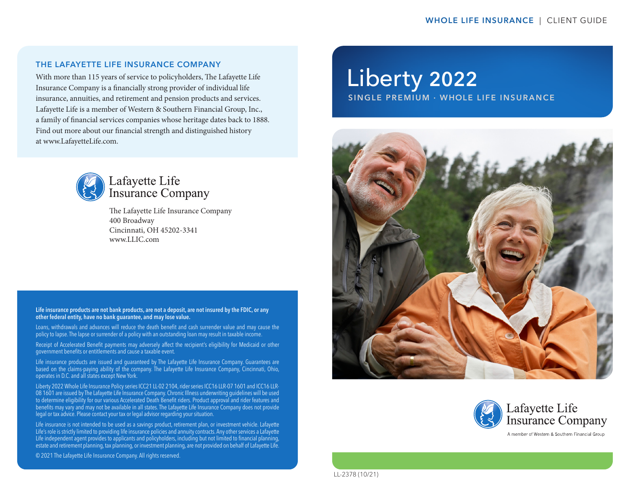#### THE LAFAYETTE LIFE INSURANCE COMPANY

With more than 115 years of service to policyholders, The Lafayette Life Insurance Company is a financially strong provider of individual life insurance, annuities, and retirement and pension products and services. Lafayette Life is a member of Western & Southern Financial Group, Inc., a family of financial services companies whose heritage dates back to 1888. Find out more about our financial strength and distinguished history at www.LafayetteLife.com.



# Lafayette Life **Insurance Company**

The Lafayette Life Insurance Company 400 Broadway Cincinnati, OH 45202-3341 www.LLIC.com

Life insurance products are not bank products, are not a deposit, are not insured by the FDIC, or any other federal entity, have no bank guarantee, and may lose value.

Loans, withdrawals and advances will reduce the death benefit and cash surrender value and may cause the policy to lapse. The lapse or surrender of a policy with an outstanding loan may result in taxable income.

Receipt of Accelerated Benefit payments may adversely affect the recipient's eligibility for Medicaid or other government benefits or entitlements and cause a taxable event.

Life insurance products are issued and guaranteed by The Lafayette Life Insurance Company. Guarantees are based on the claims-paying ability of the company. The Lafayette Life Insurance Company, Cincinnati, Ohio, operates in D.C. and all states except New York.

Liberty 2022 Whole Life Insurance Policy series ICC21 LL-02 2104, rider series ICC16 LLR-07 1601 and ICC16 LLR-08 1601 are issued by The Lafayette Life Insurance Company. Chronic Illness underwriting guidelines will be used to determine eligibility for our various Accelerated Death Benefit riders. Product approval and rider features and benefits may vary and may not be available in all states. The Lafayette Life Insurance Company does not provide legal or tax advice. Please contact your tax or legal advisor regarding your situation.

Life insurance is not intended to be used as a savings product, retirement plan, or investment vehicle. Lafayette Life's role is strictly limited to providing life insurance policies and annuity contracts. Any other services a Lafayette Life independent agent provides to applicants and policyholders, including but not limited to financial planning, estate and retirement planning, tax planning, or investment planning, are not provided on behalf of Lafayette Life.

© 2021 The Lafayette Life Insurance Company. All rights reserved.

# Liberty 2022

SINGLE PREMIUM · WHOLE LIFE INSURANCE





LL-2378 (10/21)